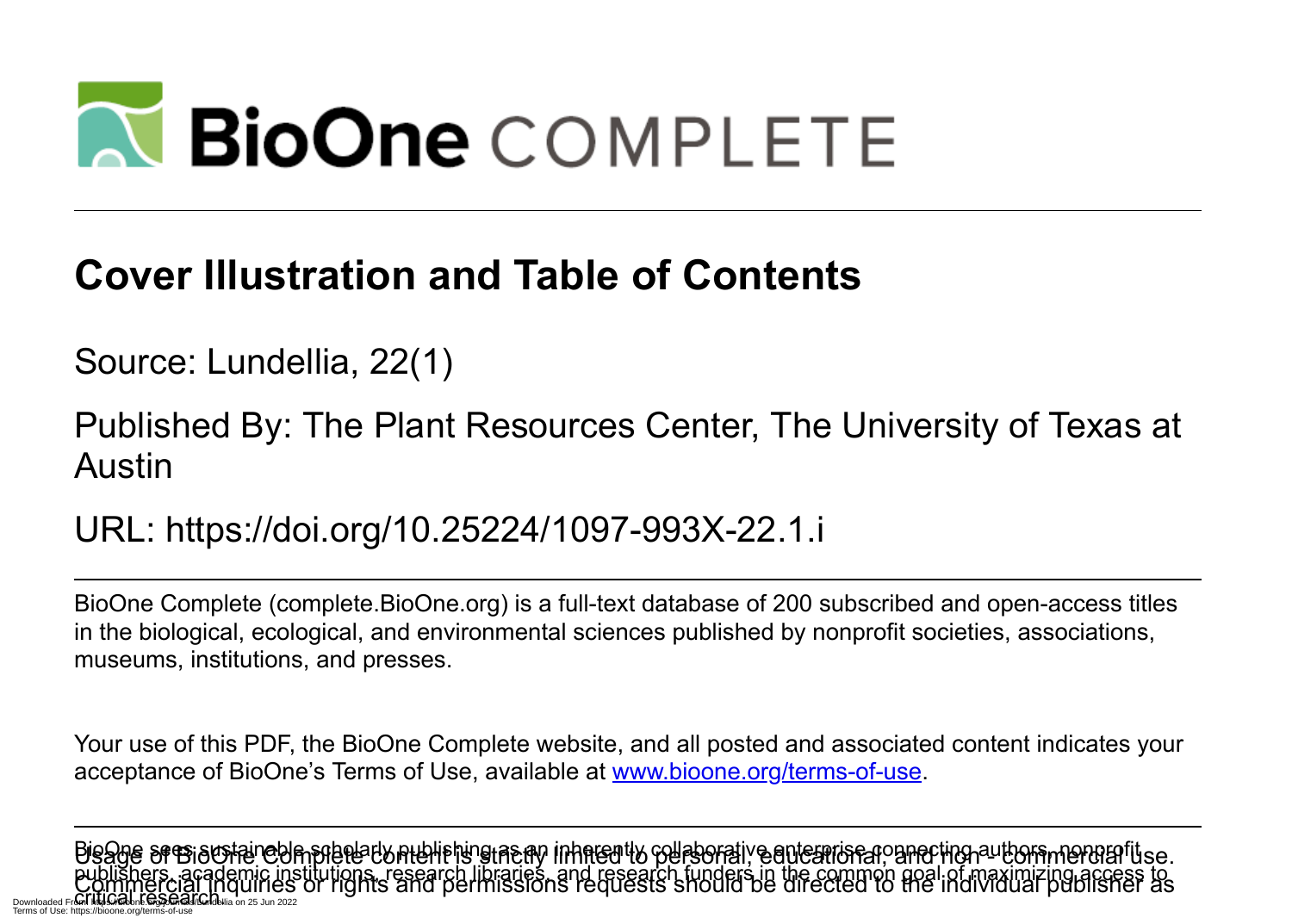

## **Cover Illustration and Table of Contents**

Source: Lundellia, 22(1)

Published By: The Plant Resources Center, The University of Texas at Austin

URL: https://doi.org/10.25224/1097-993X-22.1.i

BioOne Complete (complete.BioOne.org) is a full-text database of 200 subscribed and open-access titles in the biological, ecological, and environmental sciences published by nonprofit societies, associations, museums, institutions, and presses.

Your use of this PDF, the BioOne Complete website, and all posted and associated content indicates your acceptance of BioOne's Terms of Use, available at www.bioone.org/terms-of-use.

Bisage sresisional complete content is strictly inherently collaborative enterprise connecting authors, nonprofitse publishers, academic institutions, research libraries, and research funders in the common goal of maximizing access to<br>Commiercial inquiries or rights and permissions requests should be directed to the individual publisher Downloaded Fr**om: https://bioone.org/indelia** on 25 Jun 2022 Terms of Use: https://bioone.org/terms-of-use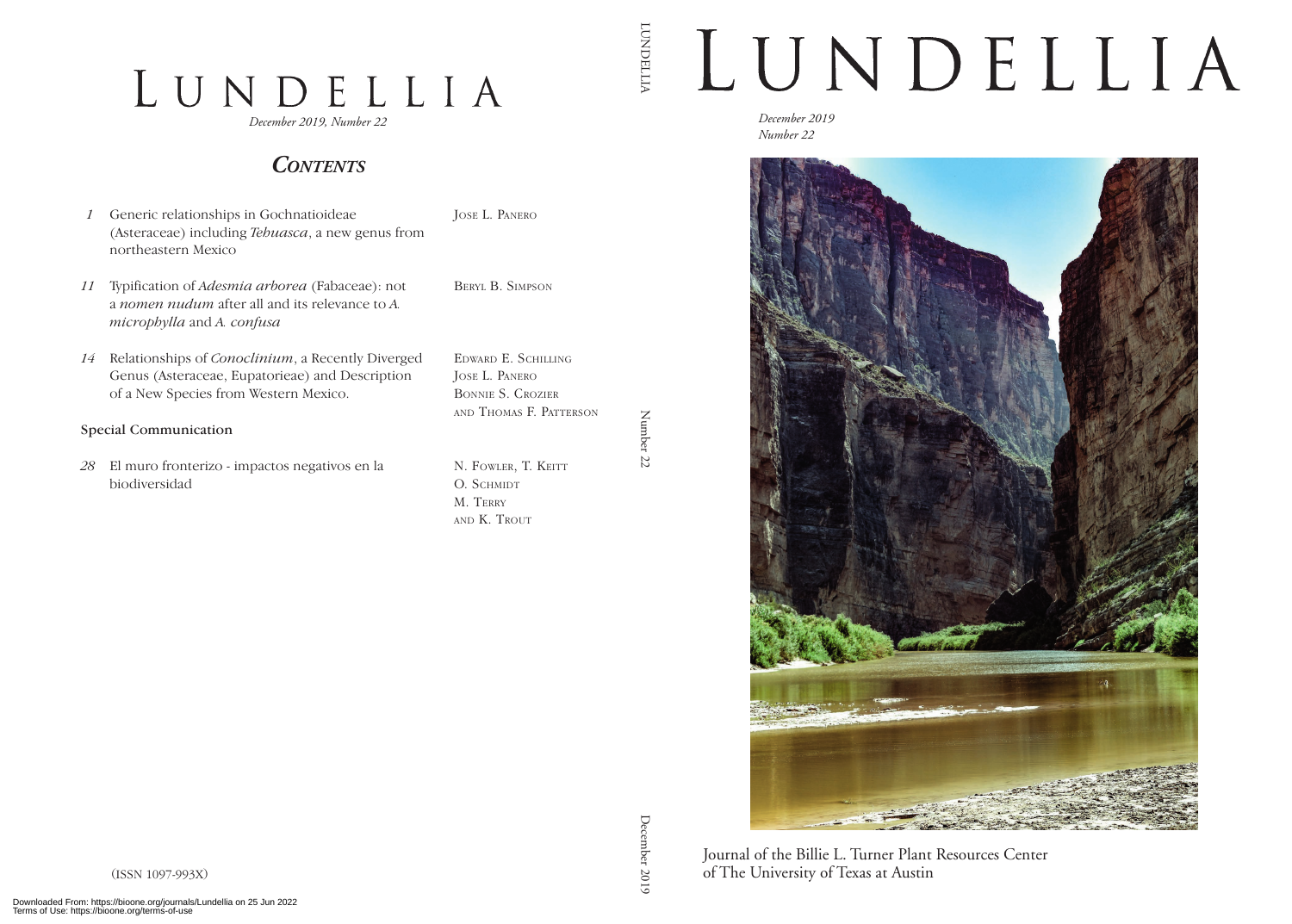## LUNDELLIA

*December 2019, Number 22*

## *Contents*

- *1* Generic relationships in Gochnatioideae (Asteraceae) including *Tehuasca*, a new genus from northeastern Mexico
- *11* Typification of *Adesmia arborea* (Fabaceae): not a *nomen nudum* after all and its relevance to *A. microphylla* and *A. confusa*
- *14* Relationships of *Conoclinium*, a Recently Diverged Genus (Asteraceae, Eupatorieae) and Description of a New Species from Western Mexico.
- Special Communication
- *28* El muro fronterizo impactos negativos en la biodiversidad

Jose L. Panero

Beryl B. Simpson

Edward E. Schilling Jose L. Panero Bonnie S. Crozier and Thomas F. Patterson

Number Number 22  $77$ 

LUNDELLIA

**LUNDELLIA** 

N. FOWLER, T. KEITT O. SCHMIDT M. Terry and K. Trout

LUNDELLIA

*December 2019 Number 22*



December December 2019

Journal of the Billie L. Turner Plant Resources Center of The University of Texas at Austin

(ISSN 1097-993X)